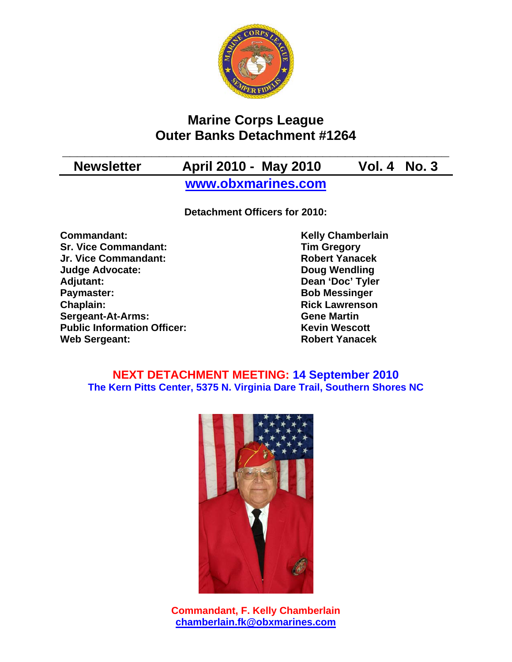

# **Marine Corps League Outer Banks Detachment #1264**

**\_\_\_\_\_\_\_\_\_\_\_\_\_\_\_\_\_\_\_\_\_\_\_\_\_\_\_\_\_\_\_\_\_\_\_\_\_\_\_\_\_\_\_\_\_\_\_\_\_\_\_\_** 

# **Newsletter April 2010 - May 2010 Vol. 4 No. 3**

**www.obxmarines.com**

**Detachment Officers for 2010:** 

**Commandant:** Kelly Chamberlain<br>
Sr. Vice Commandant: Sr. Vice Commandant: Tim Gregory **Sr. Vice Commandant: Jr. Vice Commandant: Robert Yanacek Judge Advocate: Doug Wendling Adjutant: Dean 'Doc' Tyler Paymaster:** Bob Messinger **Chaplain: Chaplain: Rick Lawrenson Sergeant-At-Arms: Gene Martin Public Information Officer:** Kevin Wescott **Web Sergeant: Robert Yanacek Robert Yanacek** 

# **NEXT DETACHMENT MEETING: 14 September 2010 The Kern Pitts Center, 5375 N. Virginia Dare Trail, Southern Shores NC**



**Commandant, F. Kelly Chamberlain chamberlain.fk@obxmarines.com**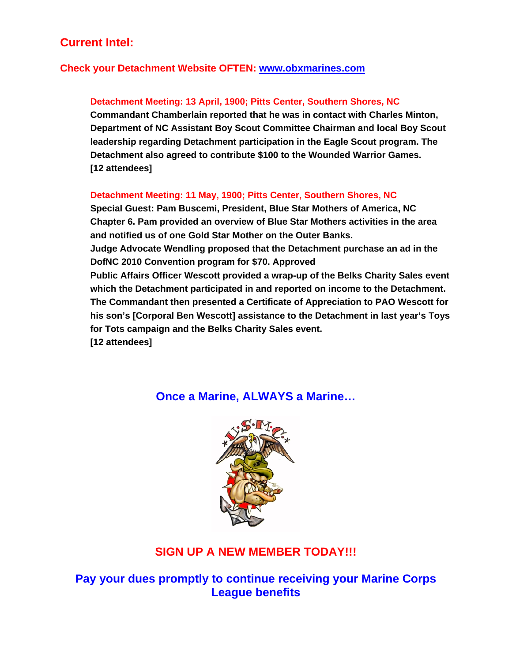# **Current Intel:**

## **Check your Detachment Website OFTEN: www.obxmarines.com**

## **Detachment Meeting: 13 April, 1900; Pitts Center, Southern Shores, NC**

**Commandant Chamberlain reported that he was in contact with Charles Minton, Department of NC Assistant Boy Scout Committee Chairman and local Boy Scout leadership regarding Detachment participation in the Eagle Scout program. The Detachment also agreed to contribute \$100 to the Wounded Warrior Games. [12 attendees]** 

### **Detachment Meeting: 11 May, 1900; Pitts Center, Southern Shores, NC**

**Special Guest: Pam Buscemi, President, Blue Star Mothers of America, NC Chapter 6. Pam provided an overview of Blue Star Mothers activities in the area and notified us of one Gold Star Mother on the Outer Banks. Judge Advocate Wendling proposed that the Detachment purchase an ad in the DofNC 2010 Convention program for \$70. Approved Public Affairs Officer Wescott provided a wrap-up of the Belks Charity Sales event which the Detachment participated in and reported on income to the Detachment. The Commandant then presented a Certificate of Appreciation to PAO Wescott for his son's [Corporal Ben Wescott] assistance to the Detachment in last year's Toys for Tots campaign and the Belks Charity Sales event. [12 attendees]** 

# **Once a Marine, ALWAYS a Marine…**



# **SIGN UP A NEW MEMBER TODAY!!!**

**Pay your dues promptly to continue receiving your Marine Corps League benefits**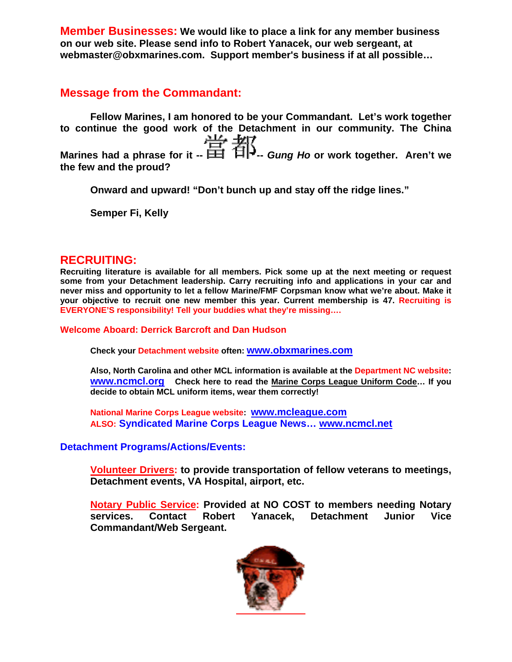**Member Businesses: We would like to place a link for any member business on our web site. Please send info to Robert Yanacek, our web sergeant, at webmaster@obxmarines.com. Support member's business if at all possible…** 

# **Message from the Commandant:**

**Fellow Marines, I am honored to be your Commandant. Let's work together to continue the good work of the Detachment in our community. The China Marines had a phrase for it --**  $\frac{114}{111}$  $\frac{117}{111}$  **Gung Ho or work together. Aren't we the few and the proud?** 

**Onward and upward! "Don't bunch up and stay off the ridge lines."** 

**Semper Fi, Kelly** 

## **RECRUITING:**

**Recruiting literature is available for all members. Pick some up at the next meeting or request some from your Detachment leadership. Carry recruiting info and applications in your car and never miss and opportunity to let a fellow Marine/FMF Corpsman know what we're about. Make it your objective to recruit one new member this year. Current membership is 47. Recruiting is EVERYONE'S responsibility! Tell your buddies what they're missing….** 

**Welcome Aboard: Derrick Barcroft and Dan Hudson** 

**Check your Detachment website often: www.obxmarines.com**

**Also, North Carolina and other MCL information is available at the Department NC website: www.ncmcl.org Check here to read the Marine Corps League Uniform Code… If you decide to obtain MCL uniform items, wear them correctly!** 

**National Marine Corps League website: www.mcleague.com ALSO: Syndicated Marine Corps League News… www.ncmcl.net** 

## **Detachment Programs/Actions/Events:**

**Volunteer Drivers: to provide transportation of fellow veterans to meetings, Detachment events, VA Hospital, airport, etc.** 

**Notary Public Service: Provided at NO COST to members needing Notary services. Contact Robert Yanacek, Detachment Junior Vice Commandant/Web Sergeant.**